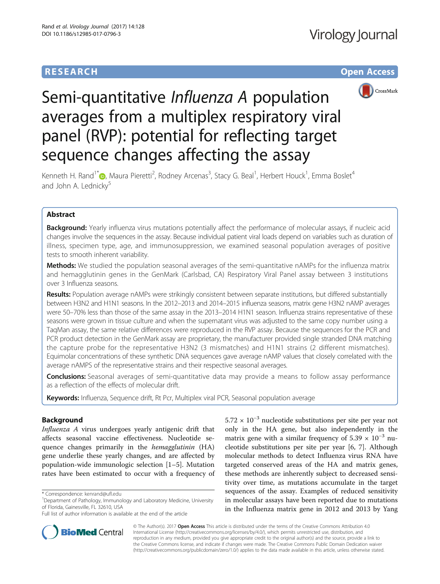## **RESEARCH CHE Open Access**



# Semi-quantitative Influenza A population averages from a multiplex respiratory viral panel (RVP): potential for reflecting target sequence changes affecting the assay

Kenneth H. Rand<sup>1\*</sup>®[,](http://orcid.org/0000-0003-3883-6180) Maura Pieretti<sup>2</sup>, Rodney Arcenas<sup>3</sup>, Stacy G. Beal<sup>1</sup>, Herbert Houck<sup>1</sup>, Emma Boslet<sup>4</sup> and John A. Lednicky<sup>5</sup>

## Abstract

Background: Yearly influenza virus mutations potentially affect the performance of molecular assays, if nucleic acid changes involve the sequences in the assay. Because individual patient viral loads depend on variables such as duration of illness, specimen type, age, and immunosuppression, we examined seasonal population averages of positive tests to smooth inherent variability.

Methods: We studied the population seasonal averages of the semi-quantitative nAMPs for the influenza matrix and hemagglutinin genes in the GenMark (Carlsbad, CA) Respiratory Viral Panel assay between 3 institutions over 3 Influenza seasons.

Results: Population average nAMPs were strikingly consistent between separate institutions, but differed substantially between H3N2 and H1N1 seasons. In the 2012–2013 and 2014–2015 influenza seasons, matrix gene H3N2 nAMP averages were 50–70% less than those of the same assay in the 2013–2014 H1N1 season. Influenza strains representative of these seasons were grown in tissue culture and when the supernatant virus was adjusted to the same copy number using a TaqMan assay, the same relative differences were reproduced in the RVP assay. Because the sequences for the PCR and PCR product detection in the GenMark assay are proprietary, the manufacturer provided single stranded DNA matching the capture probe for the representative H3N2 (3 mismatches) and H1N1 strains (2 different mismatches). Equimolar concentrations of these synthetic DNA sequences gave average nAMP values that closely correlated with the average nAMPS of the representative strains and their respective seasonal averages.

**Conclusions:** Seasonal averages of semi-quantitative data may provide a means to follow assay performance as a reflection of the effects of molecular drift.

Keywords: Influenza, Sequence drift, Rt Pcr, Multiplex viral PCR, Seasonal population average

## Background

Influenza A virus undergoes yearly antigenic drift that affects seasonal vaccine effectiveness. Nucleotide sequence changes primarily in the *hemagglutinin* (HA) gene underlie these yearly changes, and are affected by population-wide immunologic selection [[1](#page-6-0)–[5](#page-6-0)]. Mutation rates have been estimated to occur with a frequency of  $5.72 \times 10^{-3}$  nucleotide substitutions per site per year not only in the HA gene, but also independently in the matrix gene with a similar frequency of  $5.39 \times 10^{-3}$  nucleotide substitutions per site per year [\[6](#page-6-0), [7\]](#page-6-0). Although molecular methods to detect Influenza virus RNA have targeted conserved areas of the HA and matrix genes, these methods are inherently subject to decreased sensitivity over time, as mutations accumulate in the target sequences of the assay. Examples of reduced sensitivity in molecular assays have been reported due to mutations in the Influenza matrix gene in 2012 and 2013 by Yang



© The Author(s). 2017 **Open Access** This article is distributed under the terms of the Creative Commons Attribution 4.0 International License [\(http://creativecommons.org/licenses/by/4.0/](http://creativecommons.org/licenses/by/4.0/)), which permits unrestricted use, distribution, and reproduction in any medium, provided you give appropriate credit to the original author(s) and the source, provide a link to the Creative Commons license, and indicate if changes were made. The Creative Commons Public Domain Dedication waiver [\(http://creativecommons.org/publicdomain/zero/1.0/](http://creativecommons.org/publicdomain/zero/1.0/)) applies to the data made available in this article, unless otherwise stated.

<sup>\*</sup> Correspondence: [kenrand@ufl.edu](mailto:kenrand@ufl.edu) <sup>1</sup>

<sup>&</sup>lt;sup>1</sup>Department of Pathology, Immunology and Laboratory Medicine, University of Florida, Gainesville, FL 32610, USA

Full list of author information is available at the end of the article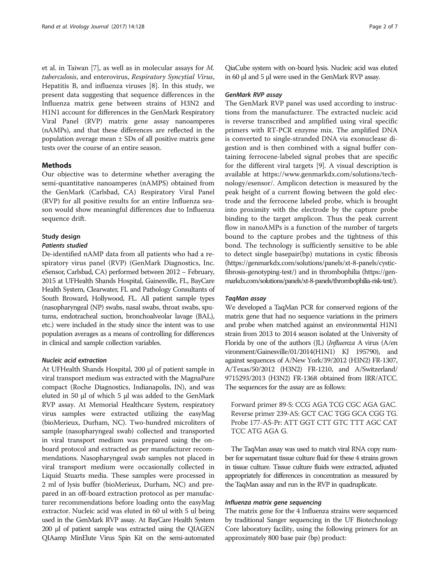et al. in Taiwan [\[7](#page-6-0)], as well as in molecular assays for M. tuberculosis, and enterovirus, Respiratory Syncytial Virus, Hepatitis B, and influenza viruses [\[8](#page-6-0)]. In this study, we present data suggesting that sequence differences in the Influenza matrix gene between strains of H3N2 and H1N1 account for differences in the GenMark Respiratory Viral Panel (RVP) matrix gene assay nanoamperes (nAMPs), and that these differences are reflected in the population average mean  $\pm$  SDs of all positive matrix gene tests over the course of an entire season.

## Methods

Our objective was to determine whether averaging the semi-quantitative nanoamperes (nAMPS) obtained from the GenMark (Carlsbad, CA) Respiratory Viral Panel (RVP) for all positive results for an entire Influenza season would show meaningful differences due to Influenza sequence drift.

## Study design

#### Patients studied

De-identified nAMP data from all patients who had a respiratory virus panel (RVP) (GenMark Diagnostics, Inc. eSensor, Carlsbad, CA) performed between 2012 – February, 2015 at UFHealth Shands Hospital, Gainesville, FL, BayCare Health System, Clearwater, FL and Pathology Consultants of South Broward, Hollywood, FL. All patient sample types (nasopharyngeal (NP) swabs, nasal swabs, throat swabs, sputums, endotracheal suction, bronchoalveolar lavage (BAL), etc.) were included in the study since the intent was to use population averages as a means of controlling for differences in clinical and sample collection variables.

## Nucleic acid extraction

At UFHealth Shands Hospital, 200 μl of patient sample in viral transport medium was extracted with the MagnaPure compact (Roche Diagnostics, Indianapolis, IN), and was eluted in 50 μl of which 5 μl was added to the GenMark RVP assay. At Memorial Healthcare System, respiratory virus samples were extracted utilizing the easyMag (bioMerieux, Durham, NC). Two-hundred microliters of sample (nasopharyngeal swab) collected and transported in viral transport medium was prepared using the onboard protocol and extracted as per manufacturer recommendations. Nasopharyngeal swab samples not placed in viral transport medium were occasionally collected in Liquid Stuarts media. These samples were processed in 2 ml of lysis buffer (bioMerieux, Durham, NC) and prepared in an off-board extraction protocol as per manufacturer recommendations before loading onto the easyMag extractor. Nucleic acid was eluted in 60 ul with 5 ul being used in the GenMark RVP assay. At BayCare Health System 200 μl of patient sample was extracted using the QIAGEN QIAamp MinElute Virus Spin Kit on the semi-automated

QiaCube system with on-board lysis. Nucleic acid was eluted in 60 μl and 5 μl were used in the GenMark RVP assay.

## GenMark RVP assay

The GenMark RVP panel was used according to instructions from the manufacturer. The extracted nucleic acid is reverse transcribed and amplified using viral specific primers with RT-PCR enzyme mix. The amplified DNA is converted to single-stranded DNA via exonuclease digestion and is then combined with a signal buffer containing ferrocene-labeled signal probes that are specific for the different viral targets [\[9](#page-6-0)]. A visual description is available at [https://www.genmarkdx.com/solutions/tech](https://www.genmarkdx.com/solutions/technology/esensor/)[nology/esensor/.](https://www.genmarkdx.com/solutions/technology/esensor/) Amplicon detection is measured by the peak height of a current flowing between the gold electrode and the ferrocene labeled probe, which is brought into proximity with the electrode by the capture probe binding to the target amplicon. Thus the peak current flow in nanoAMPs is a function of the number of targets bound to the capture probes and the tightness of this bond. The technology is sufficiently sensitive to be able to detect single basepair(bp) mutations in cystic fibrosis ([https://genmarkdx.com/solutions/panels/xt-8-panels/cystic](https://genmarkdx.com/solutions/panels/xt-8-panels/cystic-fibrosis-genotyping-test/)[fibrosis-genotyping-test/](https://genmarkdx.com/solutions/panels/xt-8-panels/cystic-fibrosis-genotyping-test/)) and in thrombophilia [\(https://gen](https://genmarkdx.com/solutions/panels/xt-8-panels/thrombophilia-risk-test)[markdx.com/solutions/panels/xt-8-panels/thrombophilia-risk-test/](https://genmarkdx.com/solutions/panels/xt-8-panels/thrombophilia-risk-test)).

## TaqMan assay

We developed a TaqMan PCR for conserved regions of the matrix gene that had no sequence variations in the primers and probe when matched against an environmental H1N1 strain from 2013 to 2014 season isolated at the University of Florida by one of the authors (JL) (Influenza A virus (A/en vironment/Gainesville/01/2014(H1N1) KJ 195790), and against sequences of A/New York/39/2012 (H3N2) FR-1307, A/Texas/50/2012 (H3N2) FR-1210, and A/Switzerland/ 9715293/2013 (H3N2) FR-1368 obtained from IRR/ATCC. The sequences for the assay are as follows:

Forward primer 89-S: CCG AGA TCG CGC AGA GAC. Reverse primer 239-AS: GCT CAC TGG GCA CGG TG. Probe 177-AS-Pr: ATT GGT CTT GTC TTT AGC CAT TCC ATG AGA G.

The TaqMan assay was used to match viral RNA copy number for supernatant tissue culture fluid for these 4 strains grown in tissue culture. Tissue culture fluids were extracted, adjusted appropriately for differences in concentration as measured by the TaqMan assay and run in the RVP in quadruplicate.

## Influenza matrix gene sequencing

The matrix gene for the 4 Influenza strains were sequenced by traditional Sanger sequencing in the UF Biotechnology Core laboratory facility, using the following primers for an approximately 800 base pair (bp) product: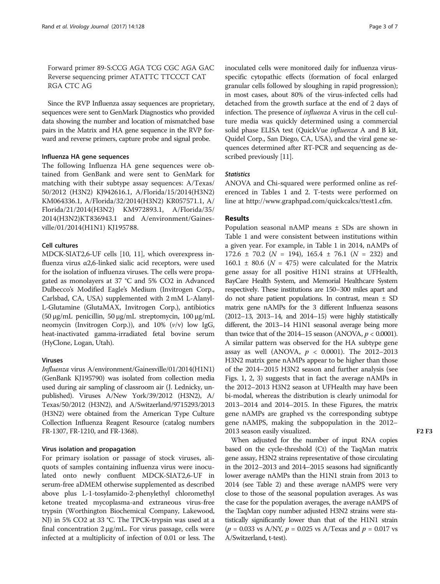Forward primer 89‐S:CCG AGA TCG CGC AGA GAC Reverse sequencing primer ATATTC TTCCCT CAT RGA CTC AG

Since the RVP Influenza assay sequences are proprietary, sequences were sent to GenMark Diagnostics who provided data showing the number and location of mismatched base pairs in the Matrix and HA gene sequence in the RVP forward and reverse primers, capture probe and signal probe.

#### Influenza HA gene sequences

The following Influenza HA gene sequences were obtained from GenBank and were sent to GenMark for matching with their subtype assay sequences: A/Texas/ 50/2012 (H3N2) KJ942616.1, A/Florida/15/2014(H3N2) KM064336.1, A/Florida/32/2014(H3N2) KR057571.1, A/ Florida/21/2014(H3N2) KM972893.1, A/Florida/35/ 2014(H3N2)KT836943.1 and A/environment/Gainesville/01/2014(H1N1) KJ195788.

## Cell cultures

MDCK-SIAT2,6-UF cells [\[10, 11\]](#page-6-0), which overexpress influenza virus α2,6-linked sialic acid receptors, were used for the isolation of influenza viruses. The cells were propagated as monolayers at 37 °C and 5% CO2 in Advanced Dulbecco's Modified Eagle's Medium (Invitrogen Corp., Carlsbad, CA, USA) supplemented with 2 mM L-Alanyl-L-Glutamine (GlutaMAX, Invitrogen Corp.), antibiotics (50 μg/mL penicillin, 50 μg/mL streptomycin, 100 μg/mL neomycin (Invitrogen Corp.)), and  $10\%$  ( $v/v$ ) low IgG, heat-inactivated gamma-irradiated fetal bovine serum (HyClone, Logan, Utah).

### Viruses

Influenza virus A/environment/Gainesville/01/2014(H1N1) (GenBank KJ195790) was isolated from collection media used during air sampling of classroom air (J. Lednicky, unpublished). Viruses A/New York/39/2012 (H3N2), A/ Texas/50/2012 (H3N2), and A/Switzerland/9715293/2013 (H3N2) were obtained from the American Type Culture Collection Influenza Reagent Resource (catalog numbers FR-1307, FR-1210, and FR-1368).

#### Virus isolation and propagation

For primary isolation or passage of stock viruses, aliquots of samples containing influenza virus were inoculated onto newly confluent MDCK-SIAT2,6-UF in serum-free aDMEM otherwise supplemented as described above plus L-1-tosylamido-2-phenylethyl chloromethyl ketone treated mycoplasma-and extraneous virus-free trypsin (Worthington Biochemical Company, Lakewood, NJ) in 5% CO2 at 33 °C. The TPCK-trypsin was used at a final concentration 2 μg/mL. For virus passage, cells were infected at a multiplicity of infection of 0.01 or less. The

inoculated cells were monitored daily for influenza virusspecific cytopathic effects (formation of focal enlarged granular cells followed by sloughing in rapid progression); in most cases, about 80% of the virus-infected cells had detached from the growth surface at the end of 2 days of infection. The presence of influenza A virus in the cell culture media was quickly determined using a commercial solid phase ELISA test (QuickVue *influenza* A and B kit, Quidel Corp., San Diego, CA, USA), and the viral gene sequences determined after RT-PCR and sequencing as de-scribed previously [\[11\]](#page-6-0).

#### **Statistics**

ANOVA and Chi-squared were performed online as referenced in Tables [1](#page-3-0) and [2.](#page-3-0) T-tests were performed on line at<http://www.graphpad.com/quickcalcs/ttest1.cfm>.

## Results

Population seasonal nAMP means ± SDs are shown in Table [1](#page-3-0) and were consistent between institutions within a given year. For example, in Table [1](#page-3-0) in 2014, nAMPs of  $172.6 \pm 70.2$  (N = 194),  $165.4 \pm 76.1$  (N = 232) and  $160.1 \pm 80.6$  ( $N = 475$ ) were calculated for the Matrix gene assay for all positive H1N1 strains at UFHealth, BayCare Health System, and Memorial Healthcare System respectively. These institutions are 150–300 miles apart and do not share patient populations. In contrast, mean  $\pm$  SD matrix gene nAMPs for the 3 different Influenza seasons (2012–13, 2013–14, and 2014–15) were highly statistically different, the 2013–14 H1N1 seasonal average being more than twice that of the 2014–15 season (ANOVA,  $p < 0.0001$ ). A similar pattern was observed for the HA subtype gene assay as well (ANOVA,  $p < 0.0001$ ). The 2012–2013 H3N2 matrix gene nAMPs appear to be higher than those of the 2014–2015 H3N2 season and further analysis (see Figs. [1](#page-4-0), [2](#page-4-0), [3\)](#page-5-0) suggests that in fact the average nAMPs in the 2012–2013 H3N2 season at UFHealth may have been bi-modal, whereas the distribution is clearly unimodal for 2013–2014 and 2014–2015. In these Figures, the matrix gene nAMPs are graphed vs the corresponding subtype gene nAMPS, making the subpopulation in the 2012– 2013 season easily visualized. F2 F3

When adjusted for the number of input RNA copies based on the cycle-threshold (Ct) of the TaqMan matrix gene assay, H3N2 strains representative of those circulating in the 2012–2013 and 2014–2015 seasons had significantly lower average nAMPs than the H1N1 strain from 2013 to 2014 (see Table [2\)](#page-3-0) and these average nAMPS were very close to those of the seasonal population averages. As was the case for the population averages, the average nAMPS of the TaqMan copy number adjusted H3N2 strains were statistically significantly lower than that of the H1N1 strain  $(p = 0.033 \text{ vs } A/NY, p = 0.025 \text{ vs } A/T$ exas and  $p = 0.017 \text{ vs } A/T$ A/Switzerland, t-test).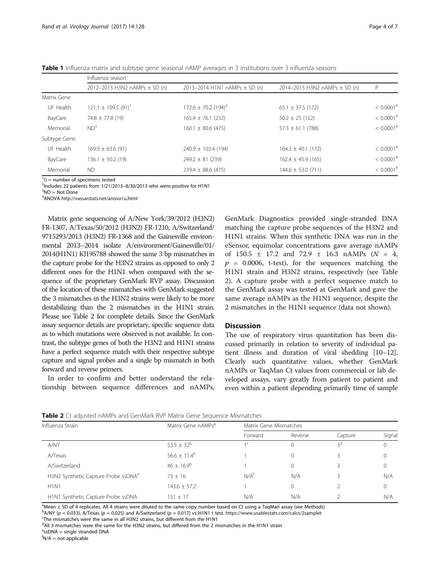<span id="page-3-0"></span>Table 1 Influenza matrix and subtype gene seasonal nAMP averages in 3 institutions over 3 influenza seasons

|              | Influenza season              |                                     |                               |                       |  |  |  |
|--------------|-------------------------------|-------------------------------------|-------------------------------|-----------------------|--|--|--|
|              | 2012-2013 H3N2 nAMPs ± SD (n) | 2013-2014 H1N1 nAMPs ± SD (n)       | 2014-2015 H3N2 nAMPs ± SD (n) | P                     |  |  |  |
| Matrix Gene  |                               |                                     |                               |                       |  |  |  |
| UF Health    | $121.1 \pm 109.5(91)^1$       | $172.6 \pm 70.2$ (194) <sup>2</sup> | $65.1 \pm 37.5$ (172)         | < 0.0001 <sup>4</sup> |  |  |  |
| BayCare      | $74.8 \pm 77.8$ (19)          | $165.4 \pm 76.1$ (232)              | $50.2 \pm 25(152)$            | < 0.0001 <sup>4</sup> |  |  |  |
| Memorial     | ND <sup>3</sup>               | $160.1 \pm 80.6$ (475)              | $57.3 \pm 61.1$ (788)         | < 0.0001 <sup>4</sup> |  |  |  |
| Subtype Gene |                               |                                     |                               |                       |  |  |  |
| UF Health    | $169.9 \pm 63.6$ (91)         | $240.9 \pm 103.4$ (194)             | $164.3 \pm 40.1$ (172)        | < 0.0001 <sup>4</sup> |  |  |  |
| BayCare      | $136.1 \pm 50.2$ (19)         | $249.2 \pm 81$ (239)                | $162.4 \pm 45.9$ (165)        | < 0.0001 <sup>4</sup> |  |  |  |
| Memorial     | <b>ND</b>                     | $239.4 \pm 88.6$ (475)              | $144.6 \pm 53.0$ (711)        | < 0.0001 <sup>4</sup> |  |  |  |

 $1()$  = number of specimens tested

<sup>2</sup>Includes 22 patients from 1/21/2013–8/30/2013 who were positive for H1N1<br><sup>3</sup>ND – Not Done

 $^3$ ND = Not Done

4 ANOVA <http://vassarstats.net/anova1u.html>

Matrix gene sequencing of A/New York/39/2012 (H3N2) FR-1307, A/Texas/50/2012 (H3N2) FR-1210, A/Switzerland/ 9715293/2013 (H3N2) FR-1368 and the Gainesville environmental 2013–2014 isolate A/environment/Gainesville/01/ 2014(H1N1) KJ195788 showed the same 3 bp mismatches in the capture probe for the H3N2 strains as opposed to only 2 different ones for the H1N1 when compared with the sequence of the proprietary GenMark RVP assay. Discussion of the location of these mismatches with GenMark suggested the 3 mismatches in the H3N2 strains were likely to be more destabilizing than the 2 mismatches in the H1N1 strain. Please see Table 2 for complete details. Since the GenMark assay sequence details are proprietary, specific sequence data as to which mutations were observed is not available. In contrast, the subtype genes of both the H3N2 and H1N1 strains have a perfect sequence match with their respective subtype capture and signal probes and a single bp mismatch in both forward and reverse primers.

In order to confirm and better understand the relationship between sequence differences and nAMPs,

GenMark Diagnostics provided single-stranded DNA matching the capture probe sequences of the H3N2 and H1N1 strains. When this synthetic DNA was run in the eSensor, equimolar concentrations gave average nAMPs of  $150.5 \pm 17.2$  and  $72.9 \pm 16.3$  nAMPs ( $N = 4$ ,  $p = 0.0006$ , t-test), for the sequences matching the H1N1 strain and H3N2 strains, respectively (see Table 2). A capture probe with a perfect sequence match to the GenMark assay was tested at GenMark and gave the same average nAMPs as the H1N1 sequence, despite the 2 mismatches in the H1N1 sequence (data not shown).

## Discussion

The use of respiratory virus quantitation has been discussed primarily in relation to severity of individual patient illness and duration of viral shedding [\[10](#page-6-0)–[12](#page-6-0)]. Clearly such quantitative values, whether GenMark nAMPs or TaqMan Ct values from commercial or lab developed assays, vary greatly from patient to patient and even within a patient depending primarily time of sample

| Table 2 Ct adjusted nAMPs and GenMark RVP Matrix Gene Sequence Mismatches |
|---------------------------------------------------------------------------|
|---------------------------------------------------------------------------|

| Influenza Strain                                | Matrix Gene nAMPs <sup>a</sup> | Matrix Gene Mismatches |          |                |        |
|-------------------------------------------------|--------------------------------|------------------------|----------|----------------|--------|
|                                                 |                                | Forward                | Reverse  | Capture        | Signal |
| A/NY                                            | 53.5 $\pm$ 32 <sup>b</sup>     |                        | C        | 3 <sup>d</sup> |        |
| A/Texas                                         | $56.6 \pm 11.4^b$              |                        | $\Omega$ |                | 0      |
| A/Switzerland                                   | $46 \pm 16.9^b$                |                        | C        |                |        |
| H3N2 Synthetic Capture Probe ssDNA <sup>e</sup> | $73 \pm 16$                    | N/A <sup>t</sup>       | N/A      |                | N/A    |
| <b>H1N1</b>                                     | $143.6 \pm 57.2$               |                        | $\Omega$ |                | 0      |
| H1N1 Synthetic Capture Probe ssDNA              | $151 + 17$                     | N/A                    | N/A      |                | N/A    |

a Mean ± SD of 4 replicates. All 4 strains were diluted to the same copy number based on Ct using a TaqMan assay (see Methods)

 $b_{\rm A/NY}$  (p = 0.033), A/Texas (p = 0.025) and A/Switzerland (p = 0.017) vs H1N1 t test. <https://www.usablestats.com/calcs/2samplet><br>The mismatches were the same in all H3N2 strains, but different from the H1N1

The mismatches were the same in all H3N2 strains, but different from the H1N1

<sup>d</sup>All 3 mismatches were the same for the H3N2 strains, but differed from the 2 mismatches in the H1N1 strain

 $fN/A = not$  applicable

essDNA = single stranded DNA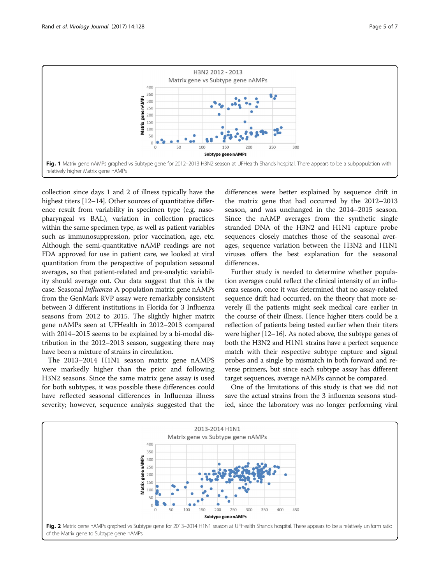<span id="page-4-0"></span>

collection since days 1 and 2 of illness typically have the highest titers [[12](#page-6-0)–[14](#page-6-0)]. Other sources of quantitative difference result from variability in specimen type (e.g. nasopharyngeal vs BAL), variation in collection practices within the same specimen type, as well as patient variables such as immunosuppression, prior vaccination, age, etc. Although the semi-quantitative nAMP readings are not FDA approved for use in patient care, we looked at viral quantitation from the perspective of population seasonal averages, so that patient-related and pre-analytic variability should average out. Our data suggest that this is the case. Seasonal Influenza A population matrix gene nAMPs from the GenMark RVP assay were remarkably consistent between 3 different institutions in Florida for 3 Influenza seasons from 2012 to 2015. The slightly higher matrix gene nAMPs seen at UFHealth in 2012–2013 compared with 2014–2015 seems to be explained by a bi-modal distribution in the 2012–2013 season, suggesting there may have been a mixture of strains in circulation.

The 2013–2014 H1N1 season matrix gene nAMPS were markedly higher than the prior and following H3N2 seasons. Since the same matrix gene assay is used for both subtypes, it was possible these differences could have reflected seasonal differences in Influenza illness severity; however, sequence analysis suggested that the differences were better explained by sequence drift in the matrix gene that had occurred by the 2012–2013 season, and was unchanged in the 2014–2015 season. Since the nAMP averages from the synthetic single stranded DNA of the H3N2 and H1N1 capture probe sequences closely matches those of the seasonal averages, sequence variation between the H3N2 and H1N1 viruses offers the best explanation for the seasonal differences.

Further study is needed to determine whether population averages could reflect the clinical intensity of an influenza season, once it was determined that no assay-related sequence drift had occurred, on the theory that more severely ill the patients might seek medical care earlier in the course of their illness. Hence higher titers could be a reflection of patients being tested earlier when their titers were higher [[12](#page-6-0)–[16\]](#page-6-0). As noted above, the subtype genes of both the H3N2 and H1N1 strains have a perfect sequence match with their respective subtype capture and signal probes and a single bp mismatch in both forward and reverse primers, but since each subtype assay has different target sequences, average nAMPs cannot be compared.

One of the limitations of this study is that we did not save the actual strains from the 3 influenza seasons studied, since the laboratory was no longer performing viral

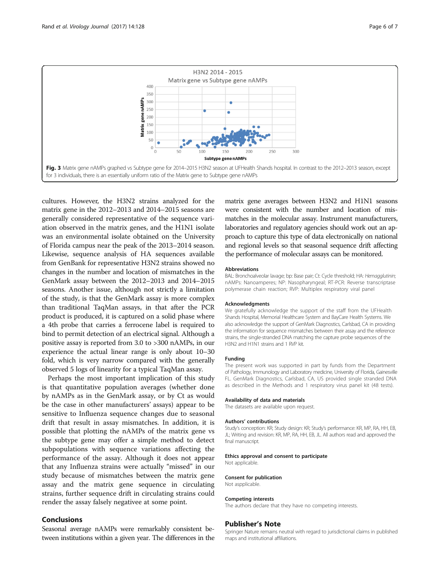<span id="page-5-0"></span>

cultures. However, the H3N2 strains analyzed for the matrix gene in the 2012–2013 and 2014–2015 seasons are generally considered representative of the sequence variation observed in the matrix genes, and the H1N1 isolate was an environmental isolate obtained on the University of Florida campus near the peak of the 2013–2014 season. Likewise, sequence analysis of HA sequences available from GenBank for representative H3N2 strains showed no changes in the number and location of mismatches in the GenMark assay between the 2012–2013 and 2014–2015 seasons. Another issue, although not strictly a limitation of the study, is that the GenMark assay is more complex than traditional TaqMan assays, in that after the PCR product is produced, it is captured on a solid phase where a 4th probe that carries a ferrocene label is required to bind to permit detection of an electrical signal. Although a positive assay is reported from 3.0 to >300 nAMPs, in our experience the actual linear range is only about 10–30 fold, which is very narrow compared with the generally observed 5 logs of linearity for a typical TaqMan assay.

Perhaps the most important implication of this study is that quantitative population averages (whether done by nAMPs as in the GenMark assay, or by Ct as would be the case in other manufacturers' assays) appear to be sensitive to Influenza sequence changes due to seasonal drift that result in assay mismatches. In addition, it is possible that plotting the nAMPs of the matrix gene vs the subtype gene may offer a simple method to detect subpopulations with sequence variations affecting the performance of the assay. Although it does not appear that any Influenza strains were actually "missed" in our study because of mismatches between the matrix gene assay and the matrix gene sequence in circulating strains, further sequence drift in circulating strains could render the assay falsely negativee at some point.

## Conclusions

Seasonal average nAMPs were remarkably consistent between institutions within a given year. The differences in the

matrix gene averages between H3N2 and H1N1 seasons were consistent with the number and location of mismatches in the molecular assay. Instrument manufacturers, laboratories and regulatory agencies should work out an approach to capture this type of data electronically on national and regional levels so that seasonal sequence drift affecting the performance of molecular assays can be monitored.

#### **Abbreviations**

BAL: Bronchoalveolar lavage; bp: Base pair; Ct: Cycle threshold; HA: Hemagglutinin; nAMPs: Nanoamperes; NP: Nasopharyngeal; RT-PCR: Reverse transcriptase polymerase chain reaction; RVP: Multiplex respiratory viral panel

#### Acknowledgments

We gratefully acknowledge the support of the staff from the UFHealth Shands Hospital, Memorial Healthcare System and BayCare Health Systems. We also acknowledge the support of GenMark Diagnostics, Carlsbad, CA in providing the information for sequence mismatches between their assay and the reference strains, the single-stranded DNA matching the capture probe sequences of the H3N2 and H1N1 strains and 1 RVP kit.

#### Funding

The present work was supported in part by funds from the Department of Pathology, Immunology and Laboratory medicine, University of Florida, Gainesville FL. GenMark Diagnostics, Carlsbad, CA, US provided single stranded DNA as described in the Methods and 1 respiratory virus panel kit (48 tests).

#### Availability of data and materials

The datasets are available upon request.

#### Authors' contributions

Study's conception: KR; Study design: KR; Study's performance: KR, MP, RA, HH, EB, JL; Writing and revision: KR, MP, RA, HH, EB, JL. All authors read and approved the final manuscript.

#### Ethics approval and consent to participate

Not applicable.

#### Consent for publication

Not aspplicable.

#### Competing interests

The authors declare that they have no competing interests.

#### Publisher's Note

Springer Nature remains neutral with regard to jurisdictional claims in published maps and institutional affiliations.